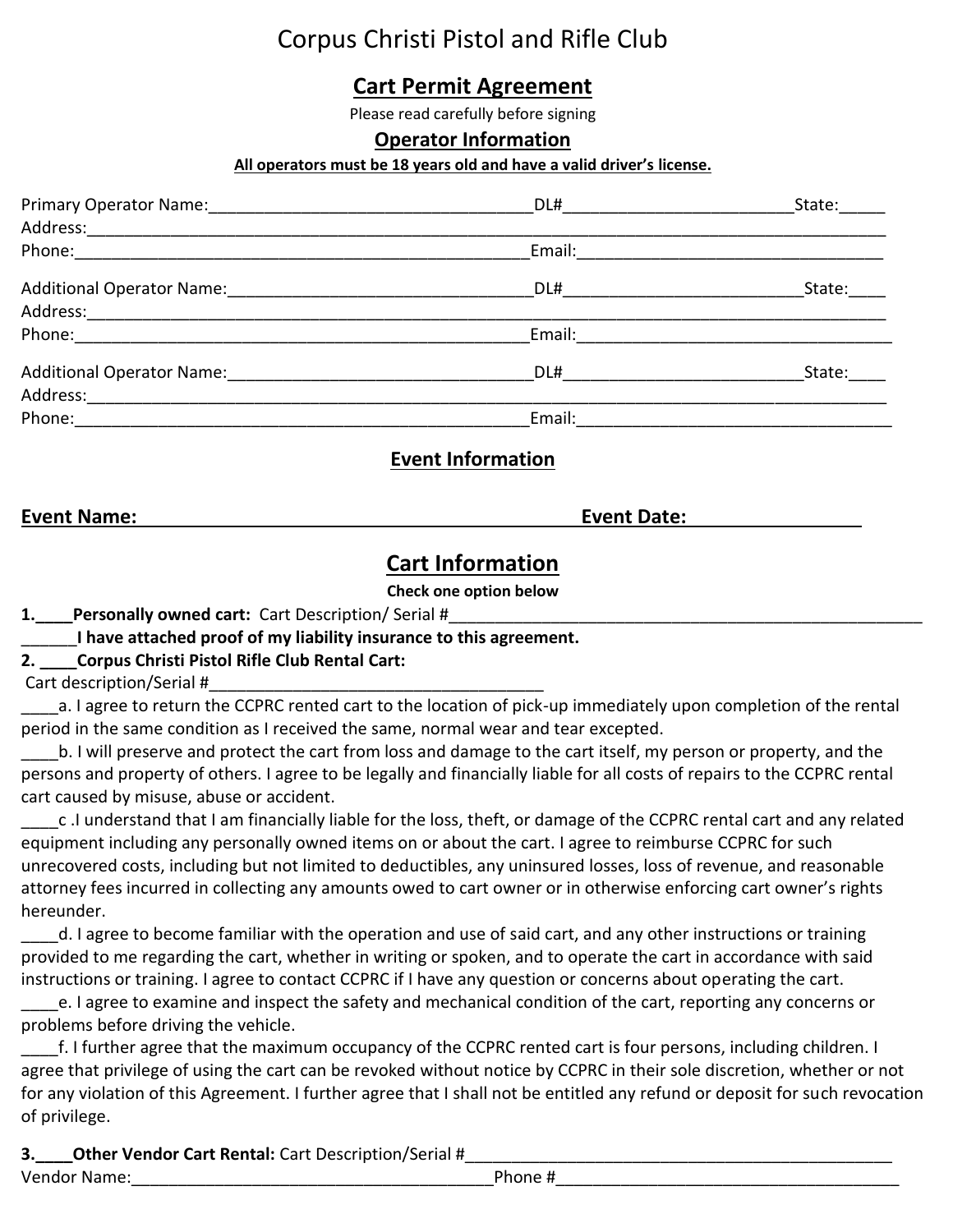# Corpus Christi Pistol and Rifle Club

# **Cart Permit Agreement**

Please read carefully before signing

## **Operator Information**

#### **All operators must be 18 years old and have a valid driver's license.**

| Primary Operator Name: 1997 - 1997 - 1998 - 1999 - 1999 - 1999 - 1999 - 1999 - 1999 - 1999 - 1999 - 1999 - 19 | DL# __________________ | State: |
|---------------------------------------------------------------------------------------------------------------|------------------------|--------|
| Address: _______________                                                                                      |                        |        |
|                                                                                                               | Email:                 |        |
| Additional Operator Name: 1988 1999                                                                           | DL#                    | State: |
|                                                                                                               |                        |        |
|                                                                                                               | Email:                 |        |
| Additional Operator Name: __________                                                                          | DL#                    | State: |
| Address: __________________                                                                                   |                        |        |
| Phone:                                                                                                        | Email:                 |        |

## **Event Information**

#### **Event Name: Event Date:**

## **Cart Information**

**Check one option below**

**1.** Personally owned cart: Cart Description/ Serial #

\_\_\_\_\_\_**I have attached proof of my liability insurance to this agreement.**

## **2. \_\_\_\_Corpus Christi Pistol Rifle Club Rental Cart:**

Cart description/Serial #

\_\_\_\_a. I agree to return the CCPRC rented cart to the location of pick-up immediately upon completion of the rental period in the same condition as I received the same, normal wear and tear excepted.

b. I will preserve and protect the cart from loss and damage to the cart itself, my person or property, and the persons and property of others. I agree to be legally and financially liable for all costs of repairs to the CCPRC rental cart caused by misuse, abuse or accident.

\_\_\_\_c .I understand that I am financially liable for the loss, theft, or damage of the CCPRC rental cart and any related equipment including any personally owned items on or about the cart. I agree to reimburse CCPRC for such unrecovered costs, including but not limited to deductibles, any uninsured losses, loss of revenue, and reasonable attorney fees incurred in collecting any amounts owed to cart owner or in otherwise enforcing cart owner's rights hereunder.

\_\_\_\_d. I agree to become familiar with the operation and use of said cart, and any other instructions or training provided to me regarding the cart, whether in writing or spoken, and to operate the cart in accordance with said instructions or training. I agree to contact CCPRC if I have any question or concerns about operating the cart.

e. I agree to examine and inspect the safety and mechanical condition of the cart, reporting any concerns or problems before driving the vehicle.

\_\_\_\_f. I further agree that the maximum occupancy of the CCPRC rented cart is four persons, including children. I agree that privilege of using the cart can be revoked without notice by CCPRC in their sole discretion, whether or not for any violation of this Agreement. I further agree that I shall not be entitled any refund or deposit for such revocation of privilege.

**3.** Other Vendor Cart Rental: Cart Description/Serial #

Vendor Name:\_\_\_\_\_\_\_\_\_\_\_\_\_\_\_\_\_\_\_\_\_\_\_\_\_\_\_\_\_\_\_\_\_\_\_\_\_\_\_Phone #\_\_\_\_\_\_\_\_\_\_\_\_\_\_\_\_\_\_\_\_\_\_\_\_\_\_\_\_\_\_\_\_\_\_\_\_\_